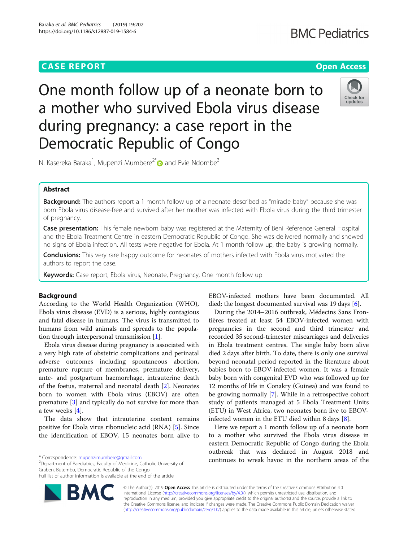# **CASE REPORT CASE ACCESS**

One month follow up of a neonate born to a mother who survived Ebola virus disease during pregnancy: a case report in the Democratic Republic of Congo



N. Kasereka Baraka<sup>1</sup>, Mupenzi Mumbere<sup>2[\\*](http://orcid.org/0000-0003-2035-7165)</sup> and Evie Ndombe<sup>3</sup>

## Abstract

**Background:** The authors report a 1 month follow up of a neonate described as "miracle baby" because she was born Ebola virus disease-free and survived after her mother was infected with Ebola virus during the third trimester of pregnancy.

Case presentation: This female newborn baby was registered at the Maternity of Beni Reference General Hospital and the Ebola Treatment Centre in eastern Democratic Republic of Congo. She was delivered normally and showed no signs of Ebola infection. All tests were negative for Ebola. At 1 month follow up, the baby is growing normally.

**Conclusions:** This very rare happy outcome for neonates of mothers infected with Ebola virus motivated the authors to report the case.

Keywords: Case report, Ebola virus, Neonate, Pregnancy, One month follow up

## Background

According to the World Health Organization (WHO), Ebola virus disease (EVD) is a serious, highly contagious and fatal disease in humans. The virus is transmitted to humans from wild animals and spreads to the population through interpersonal transmission [\[1](#page-2-0)].

Ebola virus disease during pregnancy is associated with a very high rate of obstetric complications and perinatal adverse outcomes including spontaneous abortion, premature rupture of membranes, premature delivery, ante- and postpartum haemorrhage, intrauterine death of the foetus, maternal and neonatal death [[2\]](#page-2-0). Neonates born to women with Ebola virus (EBOV) are often premature [\[3](#page-2-0)] and typically do not survive for more than a few weeks [[4\]](#page-2-0).

The data show that intrauterine content remains positive for Ebola virus ribonucleic acid (RNA) [\[5](#page-2-0)]. Since the identification of EBOV, 15 neonates born alive to

\* Correspondence: [mupenzimumbere@gmail.com](mailto:mupenzimumbere@gmail.com) <sup>2</sup>

Department of Paediatrics, Faculty of Medicine, Catholic University of Graben, Butembo, Democratic Republic of the Congo

Full list of author information is available at the end of the article



EBOV-infected mothers have been documented. All died; the longest documented survival was 19 days [\[6](#page-2-0)].

During the 2014–2016 outbreak, Médecins Sans Frontières treated at least 54 EBOV-infected women with pregnancies in the second and third trimester and recorded 35 second-trimester miscarriages and deliveries in Ebola treatment centres. The single baby born alive died 2 days after birth. To date, there is only one survival beyond neonatal period reported in the literature about babies born to EBOV-infected women. It was a female baby born with congenital EVD who was followed up for 12 months of life in Conakry (Guinea) and was found to be growing normally [\[7](#page-2-0)]. While in a retrospective cohort study of patients managed at 5 Ebola Treatment Units (ETU) in West Africa, two neonates born live to EBOVinfected women in the ETU died within 8 days [[8\]](#page-2-0).

Here we report a 1 month follow up of a neonate born to a mother who survived the Ebola virus disease in eastern Democratic Republic of Congo during the Ebola outbreak that was declared in August 2018 and continues to wreak havoc in the northern areas of the

© The Author(s). 2019 **Open Access** This article is distributed under the terms of the Creative Commons Attribution 4.0 International License [\(http://creativecommons.org/licenses/by/4.0/](http://creativecommons.org/licenses/by/4.0/)), which permits unrestricted use, distribution, and reproduction in any medium, provided you give appropriate credit to the original author(s) and the source, provide a link to the Creative Commons license, and indicate if changes were made. The Creative Commons Public Domain Dedication waiver [\(http://creativecommons.org/publicdomain/zero/1.0/](http://creativecommons.org/publicdomain/zero/1.0/)) applies to the data made available in this article, unless otherwise stated.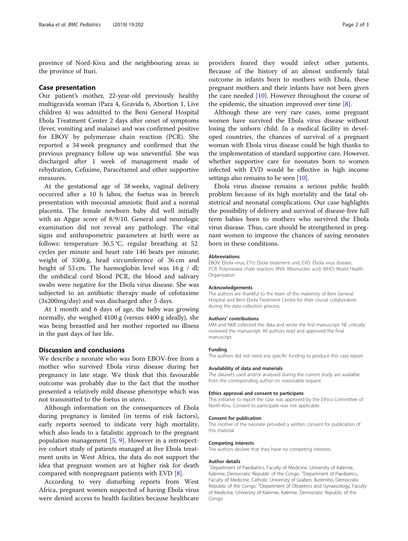province of Nord-Kivu and the neighbouring areas in the province of Ituri.

#### Case presentation

Our patient's mother, 22-year-old previously healthy multigravida woman (Para 4, Gravida 6, Abortion 1, Live children 4) was admitted to the Beni General Hospital Ebola Treatment Center 2 days after onset of symptoms (fever, vomiting and malaise) and was confirmed positive for EBOV by polymerase chain reaction (PCR). She reported a 34 week pregnancy and confirmed that the previous pregnancy follow up was uneventful. She was discharged after 1 week of management made of rehydration, Cefixime, Paracétamol and other supportive measures.

At the gestational age of 38 weeks, vaginal delivery occurred after a 10 h labor, the foetus was in breech presentation with meconial amniotic fluid and a normal placenta. The female newborn baby did well initially with an Apgar score of 8/9/10. General and neurologic examination did not reveal any pathology. The vital signs and anthropometric parameters at birth were as follows: temperature 36.5 °C, regular breathing at 52 cycles per minute and heart rate 146 beats per minute; weight of 3500 g, head circumference of 36 cm and height of 53 cm. The haemoglobin level was 16 g / dl; the umbilical cord blood PCR, the blood and salivary swabs were negative for the Ebola virus disease. She was subjected to an antibiotic therapy made of cefotaxime (3x200mg/day) and was discharged after 5 days.

At 1 month and 6 days of age, the baby was growing normally, she weighed 4100 g (versus 4400 g ideally), she was being breastfed and her mother reported no illness in the past days of her life.

### Discussion and conclusions

We describe a neonate who was born EBOV-free from a mother who survived Ebola virus disease during her pregnancy in late stage. We think that this favourable outcome was probably due to the fact that the mother presented a relatively mild disease phenotype which was not transmitted to the foetus in utero.

Although information on the consequences of Ebola during pregnancy is limited (in terms of risk factors), early reports seemed to indicate very high mortality, which also leads to a fatalistic approach to the pregnant population management [\[5](#page-2-0), [9\]](#page-2-0). However in a retrospective cohort study of patients managed at five Ebola treatment units in West Africa, the data do not support the idea that pregnant women are at higher risk for death compared with nonpregnant patients with EVD [[8\]](#page-2-0).

According to very disturbing reports from West Africa, pregnant women suspected of having Ebola virus were denied access to health facilities because healthcare

providers feared they would infect other patients. Because of the history of an almost uniformly fatal outcome in infants born to mothers with Ebola, these pregnant mothers and their infants have not been given the care needed  $[10]$  $[10]$  $[10]$ . However throughout the course of the epidemic, the situation improved over time  $[8]$  $[8]$ .

Although these are very rare cases, some pregnant women have survived the Ebola virus disease without losing the unborn child. In a medical facility in developed countries, the chances of survival of a pregnant woman with Ebola virus disease could be high thanks to the implementation of standard supportive care. However, whether supportive care for neonates born to women infected with EVD would be effective in high income settings also remains to be seen [\[10\]](#page-2-0).

Ebola virus disease remains a serious public health problem because of its high mortality and the fatal obstetrical and neonatal complications. Our case highlights the possibility of delivery and survival of disease-free full term babies born to mothers who survived the Ebola virus disease. Thus, care should be strengthened in pregnant women to improve the chances of saving neonates born in these conditions.

#### Abbreviations

EBOV: Ebola virus; ETU: Ebola treatment unit; EVD: Ebola virus disease; PCR: Polymerase chain reaction; RNA: Ribonucleic acid; WHO: World Health Organization

#### Acknowledgements

The authors are thankful to the team of the maternity of Beni General Hospital and Beni Ebola Treatment Centre for their crucial collaboration during the data collection process.

#### Authors' contributions

MM and NKB collected the data and wrote the first manuscript. NE critically reviewed the manuscript. All authors read and approved the final manuscript.

### Funding

The authors did not need any specific funding to produce this case report.

#### Availability of data and materials

The datasets used and/or analysed during the current study are available from the corresponding author on reasonable request.

#### Ethics approval and consent to participate

This initiative to report the case was approved by the Ethics Committee of North-Kivu. Consent to participate was not applicable.

#### Consent for publication

The mother of the neonate provided a written consent for publication of this material.

#### Competing interests

The authors declare that they have no competing interests.

#### Author details

<sup>1</sup> Department of Paediatrics, Faculty of Medicine, University of Kalemie, Kalemie, Democratic Republic of the Congo. <sup>2</sup> Department of Paediatrics, Faculty of Medicine, Catholic University of Graben, Butembo, Democratic Republic of the Congo. <sup>3</sup>Department of Obstetrics and Gynaecology, Faculty of Medicine, University of Kalemie, Kalemie, Democratic Republic of the Congo.